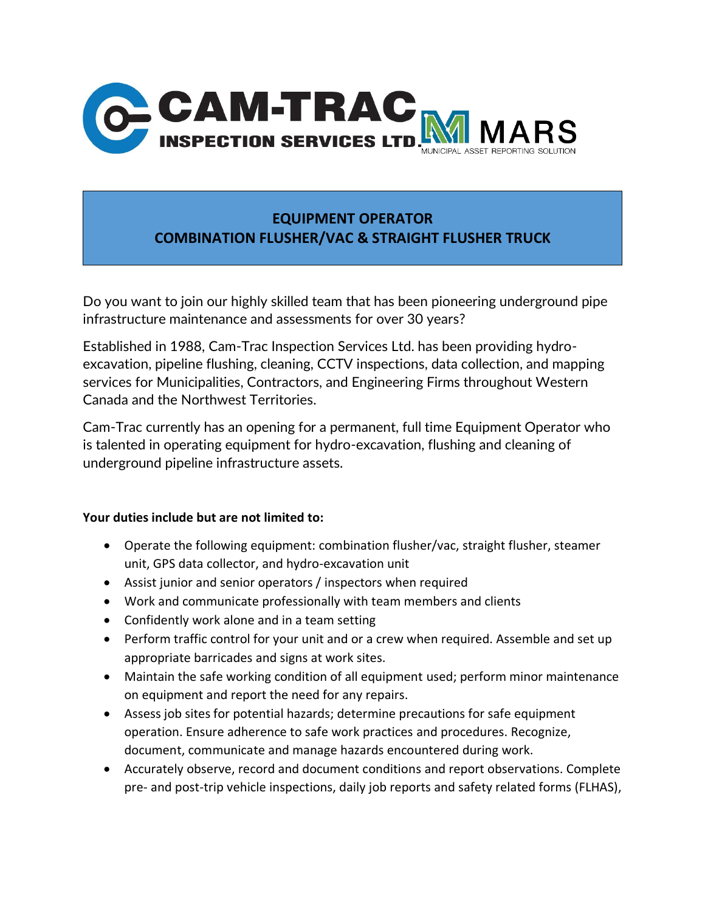

## **EQUIPMENT OPERATOR COMBINATION FLUSHER/VAC & STRAIGHT FLUSHER TRUCK**

Do you want to join our highly skilled team that has been pioneering underground pipe infrastructure maintenance and assessments for over 30 years?

Established in 1988, Cam-Trac Inspection Services Ltd. has been providing hydroexcavation, pipeline flushing, cleaning, CCTV inspections, data collection, and mapping services for Municipalities, Contractors, and Engineering Firms throughout Western Canada and the Northwest Territories.

Cam-Trac currently has an opening for a permanent, full time Equipment Operator who is talented in operating equipment for hydro-excavation, flushing and cleaning of underground pipeline infrastructure assets.

## **Your duties include but are not limited to:**

- Operate the following equipment: combination flusher/vac, straight flusher, steamer unit, GPS data collector, and hydro-excavation unit
- Assist junior and senior operators / inspectors when required
- Work and communicate professionally with team members and clients
- Confidently work alone and in a team setting
- Perform traffic control for your unit and or a crew when required. Assemble and set up appropriate barricades and signs at work sites.
- Maintain the safe working condition of all equipment used; perform minor maintenance on equipment and report the need for any repairs.
- Assess job sites for potential hazards; determine precautions for safe equipment operation. Ensure adherence to safe work practices and procedures. Recognize, document, communicate and manage hazards encountered during work.
- Accurately observe, record and document conditions and report observations. Complete pre- and post-trip vehicle inspections, daily job reports and safety related forms (FLHAS),